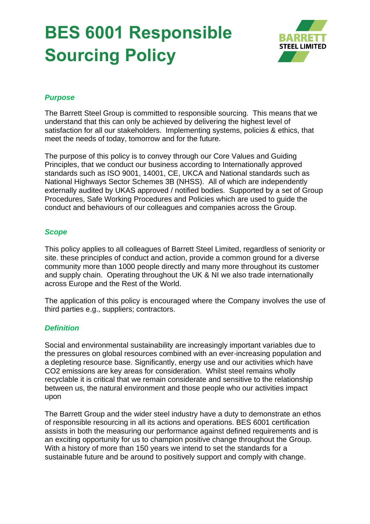# **BES 6001 Responsible Sourcing Policy**



### *Purpose*

The Barrett Steel Group is committed to responsible sourcing. This means that we understand that this can only be achieved by delivering the highest level of satisfaction for all our stakeholders. Implementing systems, policies & ethics, that meet the needs of today, tomorrow and for the future.

The purpose of this policy is to convey through our Core Values and Guiding Principles, that we conduct our business according to Internationally approved standards such as ISO 9001, 14001, CE, UKCA and National standards such as National Highways Sector Schemes 3B (NHSS). All of which are independently externally audited by UKAS approved / notified bodies. Supported by a set of Group Procedures, Safe Working Procedures and Policies which are used to guide the conduct and behaviours of our colleagues and companies across the Group.

#### *Scope*

This policy applies to all colleagues of Barrett Steel Limited, regardless of seniority or site. these principles of conduct and action, provide a common ground for a diverse community more than 1000 people directly and many more throughout its customer and supply chain. Operating throughout the UK & NI we also trade internationally across Europe and the Rest of the World.

The application of this policy is encouraged where the Company involves the use of third parties e.g., suppliers; contractors.

#### *Definition*

Social and environmental sustainability are increasingly important variables due to the pressures on global resources combined with an ever-increasing population and a depleting resource base. Significantly, energy use and our activities which have CO2 emissions are key areas for consideration. Whilst steel remains wholly recyclable it is critical that we remain considerate and sensitive to the relationship between us, the natural environment and those people who our activities impact upon

The Barrett Group and the wider steel industry have a duty to demonstrate an ethos of responsible resourcing in all its actions and operations. BES 6001 certification assists in both the measuring our performance against defined requirements and is an exciting opportunity for us to champion positive change throughout the Group. With a history of more than 150 years we intend to set the standards for a sustainable future and be around to positively support and comply with change.